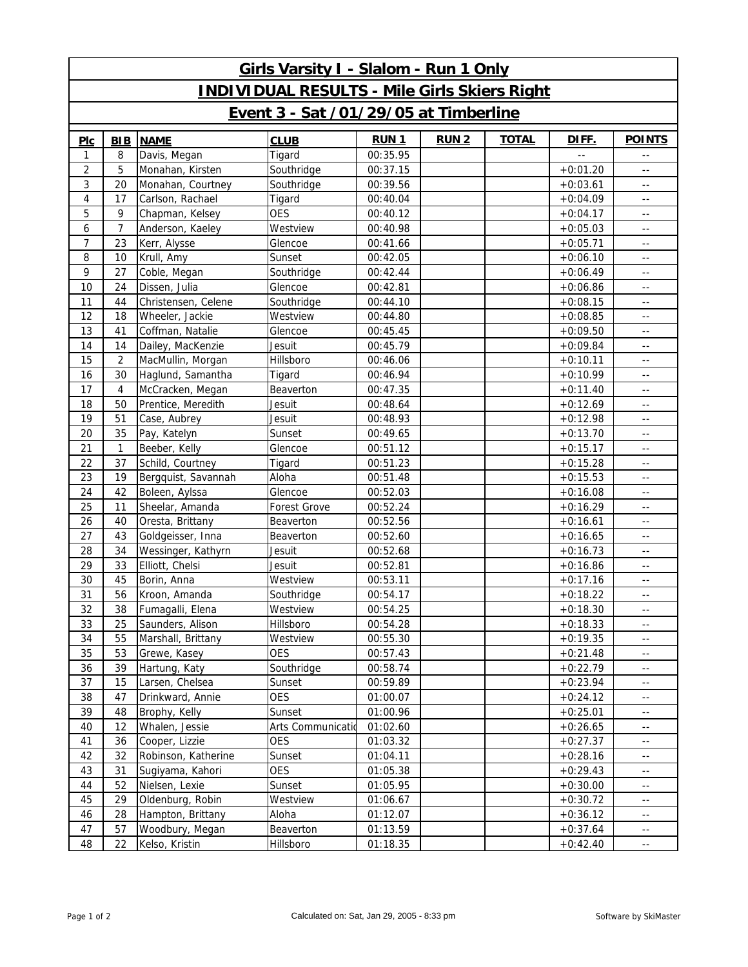| Girls Varsity I - Slalom - Run 1 Only               |                |                     |                   |             |              |              |               |                |  |  |  |  |
|-----------------------------------------------------|----------------|---------------------|-------------------|-------------|--------------|--------------|---------------|----------------|--|--|--|--|
| <b>INDIVIDUAL RESULTS - Mile Girls Skiers Right</b> |                |                     |                   |             |              |              |               |                |  |  |  |  |
| Event 3 - Sat /01/29/05 at Timberline               |                |                     |                   |             |              |              |               |                |  |  |  |  |
| PLC                                                 | <b>BIB</b>     | <b>NAME</b>         | <b>CLUB</b>       | <b>RUN1</b> | <b>RUN 2</b> | <b>TOTAL</b> | DIFF.         | <b>POINTS</b>  |  |  |  |  |
| 1                                                   | 8              | Davis, Megan        | Tigard            | 00:35.95    |              |              | $\sim$ $\sim$ | $\sim$ $-$     |  |  |  |  |
| 2                                                   | 5              | Monahan, Kirsten    | Southridge        | 00:37.15    |              |              | $+0:01.20$    | $\sim$ $-$     |  |  |  |  |
| 3                                                   | 20             | Monahan, Courtney   | Southridge        | 00:39.56    |              |              | $+0:03.61$    | $\sim$ $-$     |  |  |  |  |
| 4                                                   | 17             | Carlson, Rachael    | Tigard            | 00:40.04    |              |              | $+0:04.09$    | $\overline{a}$ |  |  |  |  |
| 5                                                   | 9              | Chapman, Kelsey     | <b>OES</b>        | 00:40.12    |              |              | $+0:04.17$    | $\sim$ $-$     |  |  |  |  |
| 6                                                   | $\overline{7}$ | Anderson, Kaeley    | Westview          | 00:40.98    |              |              | $+0:05.03$    | $\sim$ $-$     |  |  |  |  |
| $\overline{7}$                                      | 23             | Kerr, Alysse        | Glencoe           | 00:41.66    |              |              | $+0:05.71$    | $\sim$ $-$     |  |  |  |  |
| 8                                                   | 10             | Krull, Amy          | Sunset            | 00:42.05    |              |              | $+0:06.10$    | $\overline{a}$ |  |  |  |  |
| 9                                                   | 27             | Coble, Megan        | Southridge        | 00:42.44    |              |              | $+0:06.49$    | $\sim$ $-$     |  |  |  |  |
| 10                                                  | 24             | Dissen, Julia       | Glencoe           | 00:42.81    |              |              | $+0:06.86$    | $\sim$ $\sim$  |  |  |  |  |
| 11                                                  | 44             | Christensen, Celene | Southridge        | 00:44.10    |              |              | $+0:08.15$    | $\sim$ $-$     |  |  |  |  |
| 12                                                  | 18             | Wheeler, Jackie     | Westview          | 00:44.80    |              |              | $+0:08.85$    | $\sim$ $-$     |  |  |  |  |
| 13                                                  | 41             | Coffman, Natalie    | Glencoe           | 00:45.45    |              |              | $+0:09.50$    | $\sim$ $-$     |  |  |  |  |
| 14                                                  | 14             | Dailey, MacKenzie   | Jesuit            | 00:45.79    |              |              | $+0:09.84$    | $\sim$ $-$     |  |  |  |  |
| 15                                                  | $\overline{2}$ | MacMullin, Morgan   | Hillsboro         | 00:46.06    |              |              | $+0:10.11$    | $\sim$ $-$     |  |  |  |  |
| 16                                                  | 30             | Haglund, Samantha   | Tigard            | 00:46.94    |              |              | $+0:10.99$    | $\sim$ $-$     |  |  |  |  |
| 17                                                  | $\overline{4}$ | McCracken, Megan    | Beaverton         | 00:47.35    |              |              | $+0:11.40$    | $\overline{a}$ |  |  |  |  |
| 18                                                  | 50             | Prentice, Meredith  | Jesuit            | 00:48.64    |              |              | $+0:12.69$    | $\sim$ $-$     |  |  |  |  |
| 19                                                  | 51             | Case, Aubrey        | Jesuit            | 00:48.93    |              |              | $+0:12.98$    | $\sim$ $-$     |  |  |  |  |
| 20                                                  | 35             | Pay, Katelyn        | Sunset            | 00:49.65    |              |              | $+0:13.70$    | $\sim$ $-$     |  |  |  |  |
| 21                                                  | $\mathbf{1}$   | Beeber, Kelly       | Glencoe           | 00:51.12    |              |              | $+0:15.17$    | $\sim$ $-$     |  |  |  |  |
| 22                                                  | 37             | Schild, Courtney    | Tigard            | 00:51.23    |              |              | $+0:15.28$    | $\sim$ $-$     |  |  |  |  |
| 23                                                  | 19             | Bergquist, Savannah | Aloha             | 00:51.48    |              |              | $+0:15.53$    | $\sim$ $-$     |  |  |  |  |
| 24                                                  | 42             | Boleen, Aylssa      | Glencoe           | 00:52.03    |              |              | $+0:16.08$    | $\sim$ $-$     |  |  |  |  |
| 25                                                  | 11             | Sheelar, Amanda     | Forest Grove      | 00:52.24    |              |              | $+0:16.29$    | $\sim$ $-$     |  |  |  |  |
| 26                                                  | 40             | Oresta, Brittany    | Beaverton         | 00:52.56    |              |              | $+0:16.61$    | $\overline{a}$ |  |  |  |  |
| 27                                                  | 43             | Goldgeisser, Inna   | Beaverton         | 00:52.60    |              |              | $+0:16.65$    | $\sim$ $-$     |  |  |  |  |
| 28                                                  | 34             | Wessinger, Kathyrn  | Jesuit            | 00:52.68    |              |              | $+0:16.73$    | $\sim$ $-$     |  |  |  |  |
| 29                                                  | 33             | Elliott, Chelsi     | Jesuit            | 00:52.81    |              |              | $+0:16.86$    | $\sim$ $-$     |  |  |  |  |
| 30                                                  | 45             | Borin, Anna         | Westview          | 00:53.11    |              |              | $+0:17.16$    | $\sim$ $-$     |  |  |  |  |
| 31                                                  | 56             | Kroon, Amanda       | Southridge        | 00:54.17    |              |              | $+0:18.22$    | $\sim$ $-$     |  |  |  |  |
| 32                                                  | 38             | Fumagalli, Elena    | Westview          | 00:54.25    |              |              | $+0:18.30$    | $\sim$ $-$     |  |  |  |  |
| 33                                                  | 25             | Saunders, Alison    | Hillsboro         | 00:54.28    |              |              | $+0:18.33$    | $\sim$ $-$     |  |  |  |  |
| 34                                                  | 55             | Marshall, Brittany  | Westview          | 00:55.30    |              |              | $+0:19.35$    | $\sim$ $-$     |  |  |  |  |
| 35                                                  | 53             | Grewe, Kasey        | <b>OES</b>        | 00:57.43    |              |              | $+0:21.48$    | $\sim$ $-$     |  |  |  |  |
| 36                                                  | 39             | Hartung, Katy       | Southridge        | 00:58.74    |              |              | $+0:22.79$    | $\sim$ $\sim$  |  |  |  |  |
| 37                                                  | 15             | Larsen, Chelsea     | Sunset            | 00:59.89    |              |              | $+0:23.94$    | $\sim$ $\sim$  |  |  |  |  |
| 38                                                  | 47             | Drinkward, Annie    | <b>OES</b>        | 01:00.07    |              |              | $+0:24.12$    | $\sim$ $\sim$  |  |  |  |  |
| 39                                                  | 48             | Brophy, Kelly       | Sunset            | 01:00.96    |              |              | $+0:25.01$    | $\sim$ $-$     |  |  |  |  |
| 40                                                  | 12             | Whalen, Jessie      | Arts Communicatio | 01:02.60    |              |              | $+0:26.65$    | $\sim$ $-$     |  |  |  |  |
| 41                                                  | 36             | Cooper, Lizzie      | <b>OES</b>        | 01:03.32    |              |              | $+0:27.37$    | $\sim$ $\sim$  |  |  |  |  |
| 42                                                  | 32             | Robinson, Katherine | Sunset            | 01:04.11    |              |              | $+0:28.16$    | $\sim$ $\sim$  |  |  |  |  |
| 43                                                  | 31             | Sugiyama, Kahori    | <b>OES</b>        | 01:05.38    |              |              | $+0:29.43$    | $\sim$ $-$     |  |  |  |  |
| 44                                                  | 52             | Nielsen, Lexie      | Sunset            | 01:05.95    |              |              | $+0:30.00$    | $\sim$ $-$     |  |  |  |  |
| 45                                                  | 29             | Oldenburg, Robin    | Westview          | 01:06.67    |              |              | $+0:30.72$    | $\sim$ $\sim$  |  |  |  |  |
| 46                                                  | 28             | Hampton, Brittany   | Aloha             | 01:12.07    |              |              | $+0:36.12$    | $\sim$ $\sim$  |  |  |  |  |
| 47                                                  | 57             | Woodbury, Megan     | Beaverton         | 01:13.59    |              |              | $+0:37.64$    | $\sim$ $-$     |  |  |  |  |
| 48                                                  | 22             | Kelso, Kristin      | Hillsboro         | 01:18.35    |              |              | $+0:42.40$    | $\sim$ $-$     |  |  |  |  |